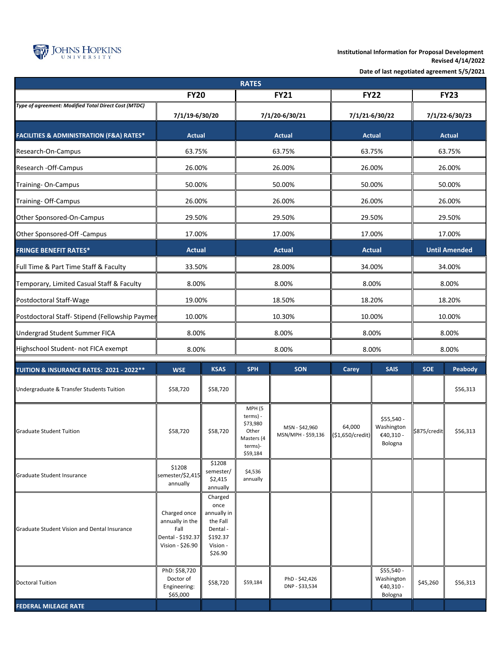

**Institutional Information for Proposal Development Revised 4/14/2022**

**Date of last negotiated agreement 5/5/2021**

| <b>RATES</b>                                            |                                                                                  |                                                                                           |                                                                                         |                                      |                            |                                                  |                      |          |  |
|---------------------------------------------------------|----------------------------------------------------------------------------------|-------------------------------------------------------------------------------------------|-----------------------------------------------------------------------------------------|--------------------------------------|----------------------------|--------------------------------------------------|----------------------|----------|--|
| <b>FY20</b>                                             |                                                                                  |                                                                                           | <b>FY21</b>                                                                             |                                      | <b>FY22</b>                |                                                  | <b>FY23</b>          |          |  |
| Type of agreement: Modified Total Direct Cost (MTDC)    | 7/1/19-6/30/20                                                                   |                                                                                           | 7/1/20-6/30/21                                                                          |                                      | 7/1/21-6/30/22             |                                                  | 7/1/22-6/30/23       |          |  |
| <b>FACILITIES &amp; ADMINISTRATION (F&amp;A) RATES*</b> | <b>Actual</b>                                                                    |                                                                                           | <b>Actual</b>                                                                           |                                      | <b>Actual</b>              |                                                  | <b>Actual</b>        |          |  |
| Research-On-Campus                                      | 63.75%                                                                           |                                                                                           | 63.75%                                                                                  |                                      | 63.75%                     |                                                  | 63.75%               |          |  |
| Research - Off-Campus                                   | 26.00%                                                                           |                                                                                           | 26.00%                                                                                  |                                      | 26.00%                     |                                                  | 26.00%               |          |  |
| Training-On-Campus                                      | 50.00%                                                                           |                                                                                           | 50.00%                                                                                  |                                      | 50.00%                     |                                                  | 50.00%               |          |  |
| Training- Off-Campus                                    | 26.00%                                                                           |                                                                                           | 26.00%                                                                                  |                                      | 26.00%                     |                                                  | 26.00%               |          |  |
| Other Sponsored-On-Campus                               | 29.50%                                                                           |                                                                                           | 29.50%                                                                                  |                                      | 29.50%                     |                                                  | 29.50%               |          |  |
| Other Sponsored-Off -Campus                             | 17.00%                                                                           |                                                                                           | 17.00%                                                                                  |                                      | 17.00%                     |                                                  | 17.00%               |          |  |
| <b>FRINGE BENEFIT RATES*</b>                            | <b>Actual</b>                                                                    |                                                                                           | <b>Actual</b>                                                                           |                                      | <b>Actual</b>              |                                                  | <b>Until Amended</b> |          |  |
| Full Time & Part Time Staff & Faculty                   | 33.50%                                                                           |                                                                                           | 28.00%                                                                                  |                                      | 34.00%                     |                                                  | 34.00%               |          |  |
| Temporary, Limited Casual Staff & Faculty               | 8.00%                                                                            |                                                                                           | 8.00%                                                                                   |                                      | 8.00%                      |                                                  | 8.00%                |          |  |
| Postdoctoral Staff-Wage                                 | 19.00%                                                                           |                                                                                           | 18.50%                                                                                  |                                      | 18.20%                     |                                                  | 18.20%               |          |  |
| Postdoctoral Staff- Stipend (Fellowship Paymer          | 10.00%                                                                           |                                                                                           | 10.30%                                                                                  |                                      | 10.00%                     |                                                  | 10.00%               |          |  |
| <b>Undergrad Student Summer FICA</b>                    | 8.00%                                                                            |                                                                                           | 8.00%                                                                                   |                                      | 8.00%                      |                                                  | 8.00%                |          |  |
| Highschool Student- not FICA exempt                     | 8.00%                                                                            |                                                                                           | 8.00%                                                                                   |                                      | 8.00%                      |                                                  | 8.00%                |          |  |
| TUITION & INSURANCE RATES: 2021 - 2022**                | <b>WSE</b>                                                                       | <b>KSAS</b>                                                                               | <b>SPH</b>                                                                              | <b>SON</b>                           | <b>Carey</b>               | <b>SAIS</b>                                      | <b>SOE</b>           | Peabody  |  |
| Undergraduate & Transfer Students Tuition               | \$58,720                                                                         | \$58,720                                                                                  |                                                                                         |                                      |                            |                                                  |                      | \$56,313 |  |
| <b>Graduate Student Tuition</b>                         | \$58,720                                                                         | \$58,720                                                                                  | MPH <sub>(5</sub><br>terms) -<br>\$73,980<br>Other<br>Masters (4<br>terms)-<br>\$59,184 | MSN - \$42,960<br>MSN/MPH - \$59,136 | 64,000<br>(\$1,650/credit) | \$55,540 -<br>Washington<br>€40,310 -<br>Bologna | \$875/credit         | \$56,313 |  |
| Graduate Student Insurance                              | \$1208<br>semester/\$2,415<br>annually                                           | \$1208<br>semester/<br>\$2,415<br>annually                                                | \$4,536<br>annually                                                                     |                                      |                            |                                                  |                      |          |  |
| <b>Graduate Student Vision and Dental Insurance</b>     | Charged once<br>annually in the<br>Fall<br>Dental - \$192.37<br>Vision - \$26.90 | Charged<br>once<br>annually in<br>the Fall<br>Dental -<br>\$192.37<br>Vision -<br>\$26.90 |                                                                                         |                                      |                            |                                                  |                      |          |  |
| <b>Doctoral Tuition</b>                                 | PhD: \$58,720<br>Doctor of<br>Engineering:<br>\$65,000                           | \$58,720                                                                                  | \$59,184                                                                                | PhD - \$42,426<br>DNP - \$33,534     |                            | \$55,540 -<br>Washington<br>€40,310 -<br>Bologna | \$45,260             | \$56,313 |  |
| <b>FEDERAL MILEAGE RATE</b>                             |                                                                                  |                                                                                           |                                                                                         |                                      |                            |                                                  |                      |          |  |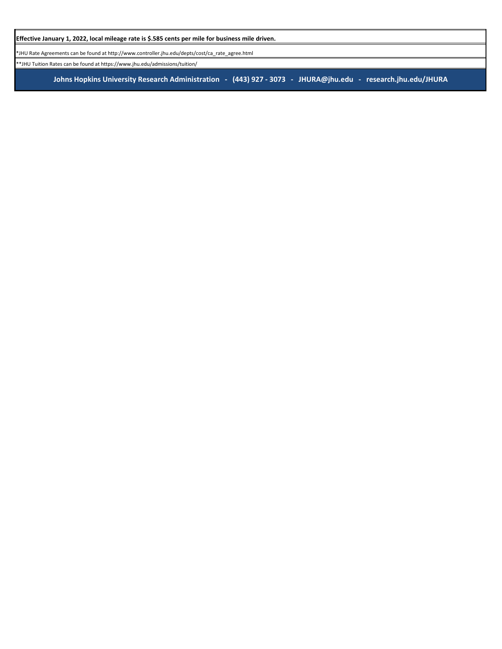**Johns Hopkins University Research Administration - (443) 927 - 3073 - JHURA@jhu.edu - research.jhu.edu/JHURA**

**Effective January 1, 2022, local mileage rate is \$.585 cents per mile for business mile driven.**

\*JHU Rate Agreements can be found at http://www.controller.jhu.edu/depts/cost/ca\_rate\_agree.html

\*\*JHU Tuition Rates can be found at https://www.jhu.edu/admissions/tuition/